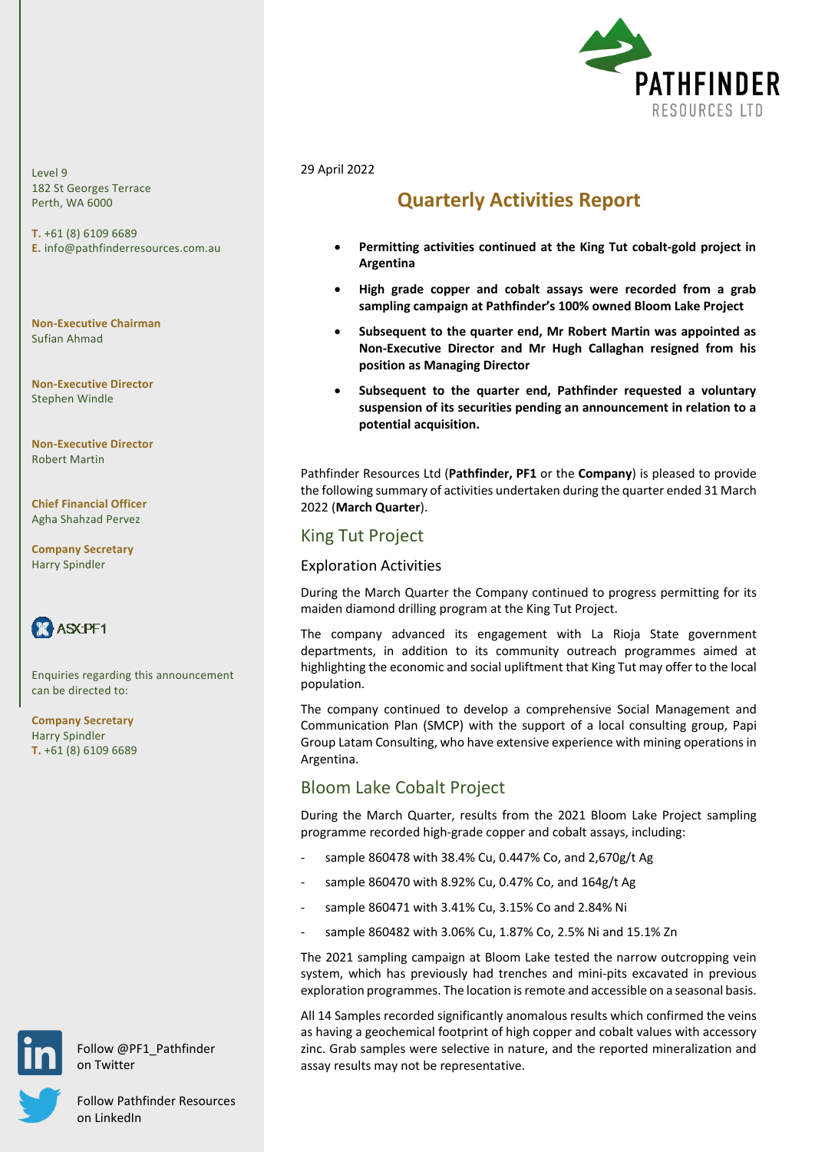

#### 29 April 2022

## **Quarterly Activities Report**

- **Permitting activities continued at the King Tut cobalt-gold project in Argentina**
- **High grade copper and cobalt assays were recorded from a grab sampling campaign at Pathfinder's 100% owned Bloom Lake Project**
- **Subsequent to the quarter end, Mr Robert Martin was appointed as Non-Executive Director and Mr Hugh Callaghan resigned from his position as Managing Director**
- **Subsequent to the quarter end, Pathfinder requested a voluntary suspension of its securities pending an announcement in relation to a potential acquisition.**

Pathfinder Resources Ltd (**Pathfinder, PF1** or the **Company**) is pleased to provide the following summary of activities undertaken during the quarter ended 31 March 2022 (**March Quarter**).

### King Tut Project

#### Exploration Activities

During the March Quarter the Company continued to progress permitting for its maiden diamond drilling program at the King Tut Project.

The company advanced its engagement with La Rioja State government departments, in addition to its community outreach programmes aimed at highlighting the economic and social upliftment that King Tut may offer to the local population.

The company continued to develop a comprehensive Social Management and Communication Plan (SMCP) with the support of a local consulting group, Papi Group Latam Consulting, who have extensive experience with mining operations in Argentina.

#### Bloom Lake Cobalt Project

During the March Quarter, results from the 2021 Bloom Lake Project sampling programme recorded high-grade copper and cobalt assays, including:

- sample 860478 with 38.4% Cu, 0.447% Co, and 2,670g/t Ag
- sample 860470 with 8.92% Cu, 0.47% Co, and 164g/t Ag
- sample 860471 with 3.41% Cu, 3.15% Co and 2.84% Ni
- sample 860482 with 3.06% Cu, 1.87% Co, 2.5% Ni and 15.1% Zn

The 2021 sampling campaign at Bloom Lake tested the narrow outcropping vein system, which has previously had trenches and mini-pits excavated in previous exploration programmes. The location is remote and accessible on a seasonal basis.

All 14 Samples recorded significantly anomalous results which confirmed the veins as having a geochemical footprint of high copper and cobalt values with accessory zinc. Grab samples were selective in nature, and the reported mineralization and assay results may not be representative.

Level 9 182 St Georges Terrace Perth, WA 6000

**T.** +61 (8) 6109 6689 **E.** info@pathfinderresources.com.au

**Non-Executive Chairman** Sufian Ahmad

**Non-Executive Director** Stephen Windle

**Non-Executive Director** Robert Martin

**Chief Financial Officer** Agha Shahzad Pervez

**Company Secretary** Harry Spindler



Enquiries regarding this announcement can be directed to:

**Company Secretary** Harry Spindler **T.** +61 (8) 6109 6689



Follow @PF1\_Pathfinder on Twitter

Follow Pathfinder Resources on LinkedIn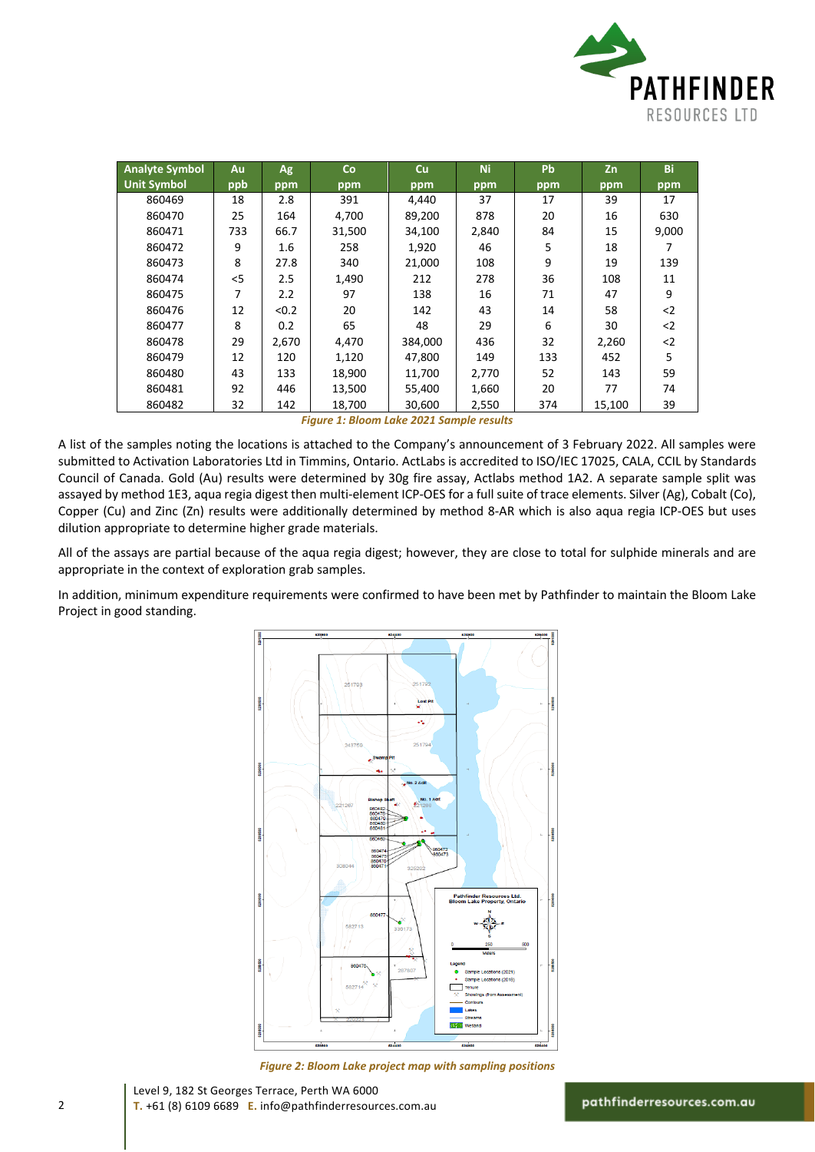

| <b>Analyte Symbol</b> | Au    | Ag    | Co     | Cu      | Ni    | <b>Pb</b> | Zn     | <b>Bi</b>   |
|-----------------------|-------|-------|--------|---------|-------|-----------|--------|-------------|
| <b>Unit Symbol</b>    | ppb   | ppm   | ppm    | ppm     | ppm   | ppm       | ppm    | ppm         |
| 860469                | 18    | 2.8   | 391    | 4,440   | 37    | 17        | 39     | 17          |
| 860470                | 25    | 164   | 4,700  | 89,200  | 878   | 20        | 16     | 630         |
| 860471                | 733   | 66.7  | 31,500 | 34,100  | 2.840 | 84        | 15     | 9,000       |
| 860472                | 9     | 1.6   | 258    | 1,920   | 46    | 5         | 18     |             |
| 860473                | 8     | 27.8  | 340    | 21,000  | 108   | q         | 19     | 139         |
| 860474                | $<$ 5 | 2.5   | 1,490  | 212     | 278   | 36        | 108    | 11          |
| 860475                | 7     | 2.2   | 97     | 138     | 16    | 71        | 47     | q           |
| 860476                | 12    | < 0.2 | 20     | 142     | 43    | 14        | 58     | $\langle$   |
| 860477                | 8     | 0.2   | 65     | 48      | 29    | 6         | 30     | $\langle$ 2 |
| 860478                | 29    | 2.670 | 4,470  | 384,000 | 436   | 32        | 2,260  | $\langle$   |
| 860479                | 12    | 120   | 1,120  | 47,800  | 149   | 133       | 452    | 5           |
| 860480                | 43    | 133   | 18,900 | 11,700  | 2,770 | 52        | 143    | 59          |
| 860481                | 92    | 446   | 13,500 | 55,400  | 1,660 | 20        | 77     | 74          |
| 860482                | 32    | 142   | 18.700 | 30.600  | 2.550 | 374       | 15.100 | 39          |

*Figure 1: Bloom Lake 2021 Sample results*

A list of the samples noting the locations is attached to the Company's announcement of 3 February 2022. All samples were submitted to Activation Laboratories Ltd in Timmins, Ontario. ActLabs is accredited to ISO/IEC 17025, CALA, CCIL by Standards Council of Canada. Gold (Au) results were determined by 30g fire assay, Actlabs method 1A2. A separate sample split was assayed by method 1E3, aqua regia digest then multi-element ICP-OES for a full suite of trace elements. Silver (Ag), Cobalt (Co), Copper (Cu) and Zinc (Zn) results were additionally determined by method 8-AR which is also aqua regia ICP-OES but uses dilution appropriate to determine higher grade materials.

All of the assays are partial because of the aqua regia digest; however, they are close to total for sulphide minerals and are appropriate in the context of exploration grab samples.

In addition, minimum expenditure requirements were confirmed to have been met by Pathfinder to maintain the Bloom Lake Project in good standing.



*Figure 2: Bloom Lake project map with sampling positions*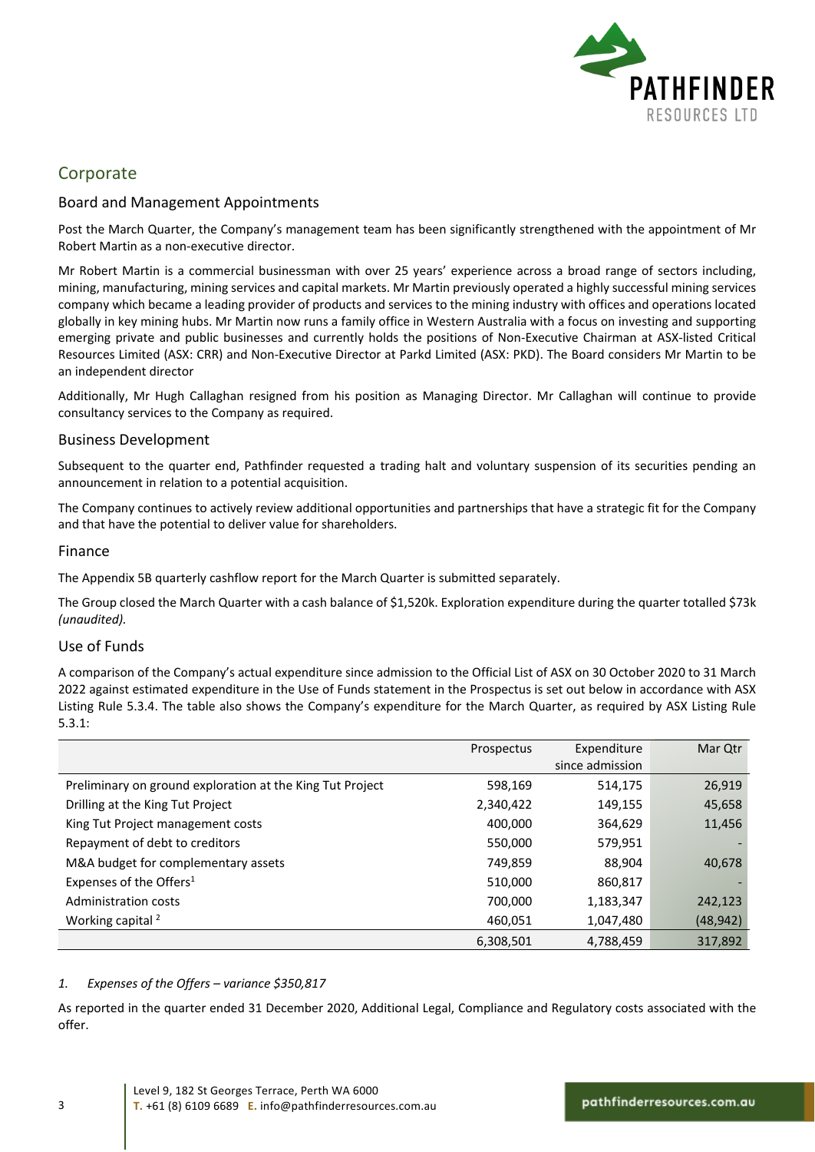

## **Corporate**

### Board and Management Appointments

Post the March Quarter, the Company's management team has been significantly strengthened with the appointment of Mr Robert Martin as a non-executive director.

Mr Robert Martin is a commercial businessman with over 25 years' experience across a broad range of sectors including, mining, manufacturing, mining services and capital markets. Mr Martin previously operated a highly successful mining services company which became a leading provider of products and services to the mining industry with offices and operations located globally in key mining hubs. Mr Martin now runs a family office in Western Australia with a focus on investing and supporting emerging private and public businesses and currently holds the positions of Non-Executive Chairman at ASX-listed Critical Resources Limited (ASX: CRR) and Non-Executive Director at Parkd Limited (ASX: PKD). The Board considers Mr Martin to be an independent director

Additionally, Mr Hugh Callaghan resigned from his position as Managing Director. Mr Callaghan will continue to provide consultancy services to the Company as required.

#### Business Development

Subsequent to the quarter end, Pathfinder requested a trading halt and voluntary suspension of its securities pending an announcement in relation to a potential acquisition.

The Company continues to actively review additional opportunities and partnerships that have a strategic fit for the Company and that have the potential to deliver value for shareholders.

#### Finance

The Appendix 5B quarterly cashflow report for the March Quarter is submitted separately.

The Group closed the March Quarter with a cash balance of \$1,520k. Exploration expenditure during the quarter totalled \$73k *(unaudited).*

#### Use of Funds

A comparison of the Company's actual expenditure since admission to the Official List of ASX on 30 October 2020 to 31 March 2022 against estimated expenditure in the Use of Funds statement in the Prospectus is set out below in accordance with ASX Listing Rule 5.3.4. The table also shows the Company's expenditure for the March Quarter, as required by ASX Listing Rule 5.3.1:

|                                                           | Prospectus | Expenditure     | Mar Qtr   |
|-----------------------------------------------------------|------------|-----------------|-----------|
|                                                           |            | since admission |           |
| Preliminary on ground exploration at the King Tut Project | 598,169    | 514,175         | 26,919    |
| Drilling at the King Tut Project                          | 2,340,422  | 149,155         | 45,658    |
| King Tut Project management costs                         | 400,000    | 364,629         | 11,456    |
| Repayment of debt to creditors                            | 550,000    | 579,951         |           |
| M&A budget for complementary assets                       | 749,859    | 88,904          | 40,678    |
| Expenses of the Offers <sup>1</sup>                       | 510,000    | 860,817         |           |
| Administration costs                                      | 700,000    | 1,183,347       | 242,123   |
| Working capital <sup>2</sup>                              | 460,051    | 1,047,480       | (48, 942) |
|                                                           | 6,308,501  | 4.788.459       | 317,892   |

#### *1. Expenses of the Offers – variance \$350,817*

As reported in the quarter ended 31 December 2020, Additional Legal, Compliance and Regulatory costs associated with the offer.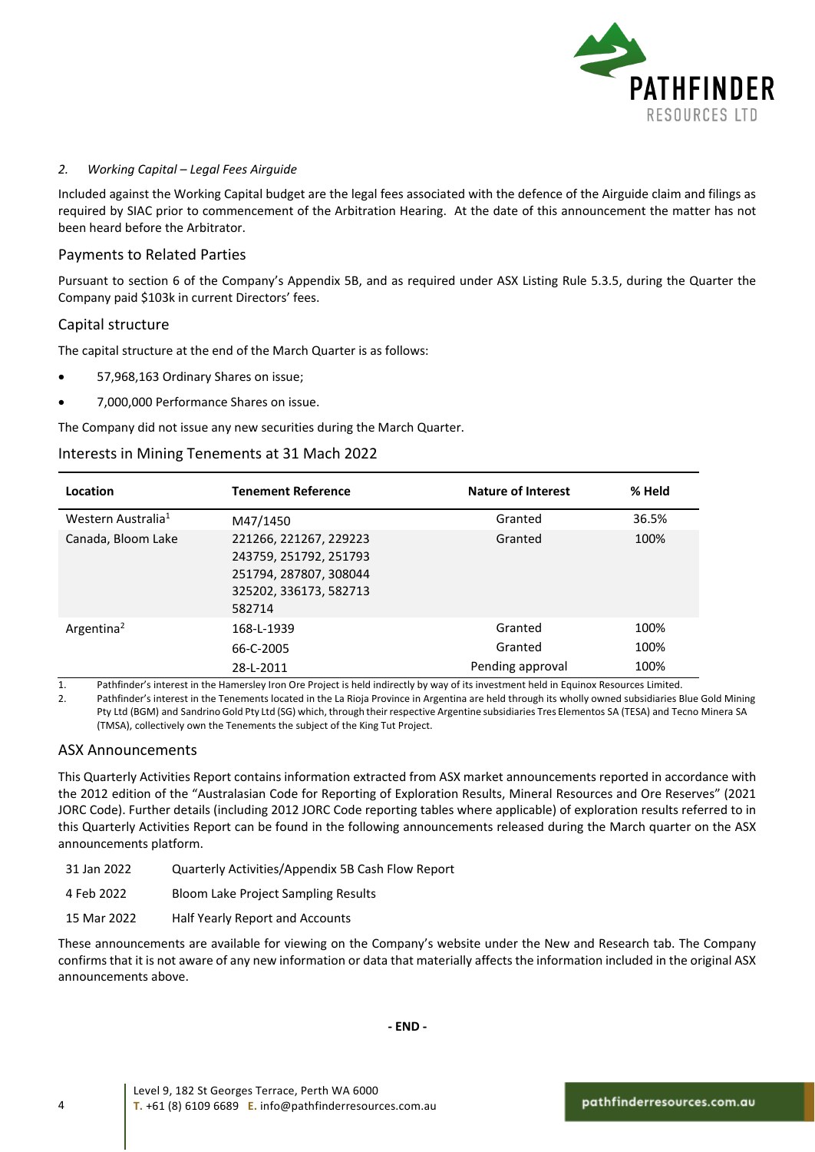

#### *2. Working Capital – Legal Fees Airguide*

Included against the Working Capital budget are the legal fees associated with the defence of the Airguide claim and filings as required by SIAC prior to commencement of the Arbitration Hearing. At the date of this announcement the matter has not been heard before the Arbitrator.

#### Payments to Related Parties

Pursuant to section 6 of the Company's Appendix 5B, and as required under ASX Listing Rule 5.3.5, during the Quarter the Company paid \$103k in current Directors' fees.

#### Capital structure

The capital structure at the end of the March Quarter is as follows:

- 57,968,163 Ordinary Shares on issue;
- 7,000,000 Performance Shares on issue.

The Company did not issue any new securities during the March Quarter.

#### Interests in Mining Tenements at 31 Mach 2022

| Location                       | <b>Tenement Reference</b>                                                                                      | <b>Nature of Interest</b> | % Held |
|--------------------------------|----------------------------------------------------------------------------------------------------------------|---------------------------|--------|
| Western Australia <sup>1</sup> | M47/1450                                                                                                       | Granted                   | 36.5%  |
| Canada, Bloom Lake             | 221266, 221267, 229223<br>243759, 251792, 251793<br>251794, 287807, 308044<br>325202, 336173, 582713<br>582714 | Granted                   | 100%   |
| Argentina <sup>2</sup>         | 168-L-1939                                                                                                     | Granted                   | 100%   |
|                                | 66-C-2005                                                                                                      | Granted                   | 100%   |
|                                | 28-L-2011                                                                                                      | Pending approval          | 100%   |

1. Pathfinder's interest in the Hamersley Iron Ore Project is held indirectly by way of its investment held in Equinox Resources Limited.

2. Pathfinder's interest in the Tenements located in the La Rioja Province in Argentina are held through its wholly owned subsidiaries Blue Gold Mining Pty Ltd (BGM) and Sandrino Gold Pty Ltd (SG) which, through their respective Argentine subsidiaries Tres Elementos SA (TESA) and Tecno Minera SA (TMSA), collectively own the Tenements the subject of the King Tut Project.

#### ASX Announcements

This Quarterly Activities Report contains information extracted from ASX market announcements reported in accordance with the 2012 edition of the "Australasian Code for Reporting of Exploration Results, Mineral Resources and Ore Reserves" (2021 JORC Code). Further details (including 2012 JORC Code reporting tables where applicable) of exploration results referred to in this Quarterly Activities Report can be found in the following announcements released during the March quarter on the ASX announcements platform.

- 31 Jan 2022 Quarterly Activities/Appendix 5B Cash Flow Report
- 4 Feb 2022 Bloom Lake Project Sampling Results
- 15 Mar 2022 Half Yearly Report and Accounts

These announcements are available for viewing on the Company's website under the New and Research tab. The Company confirms that it is not aware of any new information or data that materially affects the information included in the original ASX announcements above.

**- END -**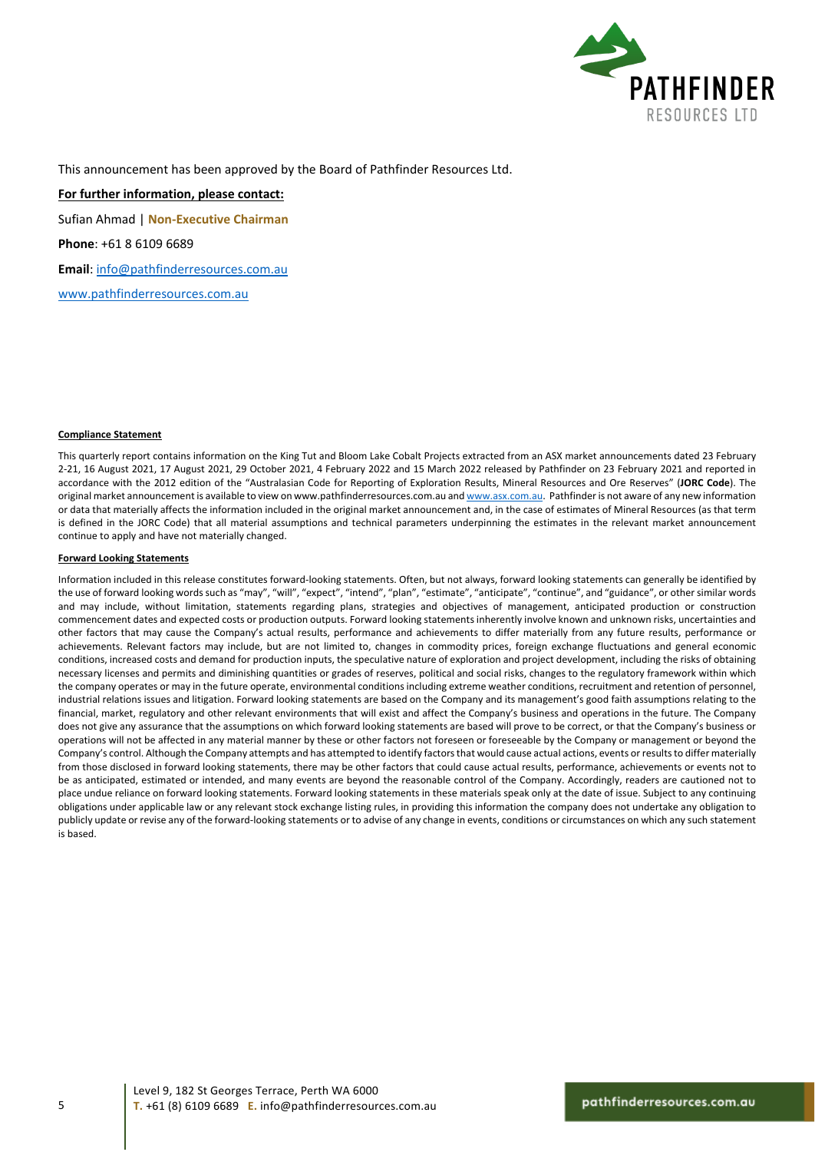

This announcement has been approved by the Board of Pathfinder Resources Ltd.

**For further information, please contact:** Sufian Ahmad | **Non-Executive Chairman Phone**: +61 8 6109 6689

**Email**[: info@pathfinderresources.com.au](mailto:info@pathfinderresources.com.au)

[www.pathfinderresources.com.au](http://www.pathfinderresources.com.au/)

#### **Compliance Statement**

This quarterly report contains information on the King Tut and Bloom Lake Cobalt Projects extracted from an ASX market announcements dated 23 February 2-21, 16 August 2021, 17 August 2021, 29 October 2021, 4 February 2022 and 15 March 2022 released by Pathfinder on 23 February 2021 and reported in accordance with the 2012 edition of the "Australasian Code for Reporting of Exploration Results, Mineral Resources and Ore Reserves" (**JORC Code**). The original market announcement is available to view on www.pathfinderresources.com.au an[d www.asx.com.au.](http://www.asx.com.au/) Pathfinder is not aware of any new information or data that materially affects the information included in the original market announcement and, in the case of estimates of Mineral Resources (as that term is defined in the JORC Code) that all material assumptions and technical parameters underpinning the estimates in the relevant market announcement continue to apply and have not materially changed.

#### **Forward Looking Statements**

Information included in this release constitutes forward-looking statements. Often, but not always, forward looking statements can generally be identified by the use of forward looking words such as "may", "will", "expect", "intend", "plan", "estimate", "anticipate", "continue", and "guidance", or other similar words and may include, without limitation, statements regarding plans, strategies and objectives of management, anticipated production or construction commencement dates and expected costs or production outputs. Forward looking statements inherently involve known and unknown risks, uncertainties and other factors that may cause the Company's actual results, performance and achievements to differ materially from any future results, performance or achievements. Relevant factors may include, but are not limited to, changes in commodity prices, foreign exchange fluctuations and general economic conditions, increased costs and demand for production inputs, the speculative nature of exploration and project development, including the risks of obtaining necessary licenses and permits and diminishing quantities or grades of reserves, political and social risks, changes to the regulatory framework within which the company operates or may in the future operate, environmental conditions including extreme weather conditions, recruitment and retention of personnel, industrial relations issues and litigation. Forward looking statements are based on the Company and its management's good faith assumptions relating to the financial, market, regulatory and other relevant environments that will exist and affect the Company's business and operations in the future. The Company does not give any assurance that the assumptions on which forward looking statements are based will prove to be correct, or that the Company's business or operations will not be affected in any material manner by these or other factors not foreseen or foreseeable by the Company or management or beyond the Company's control. Although the Company attempts and has attempted to identify factors that would cause actual actions, events or results to differ materially from those disclosed in forward looking statements, there may be other factors that could cause actual results, performance, achievements or events not to be as anticipated, estimated or intended, and many events are beyond the reasonable control of the Company. Accordingly, readers are cautioned not to place undue reliance on forward looking statements. Forward looking statements in these materials speak only at the date of issue. Subject to any continuing obligations under applicable law or any relevant stock exchange listing rules, in providing this information the company does not undertake any obligation to publicly update or revise any of the forward-looking statements or to advise of any change in events, conditions or circumstances on which any such statement is based.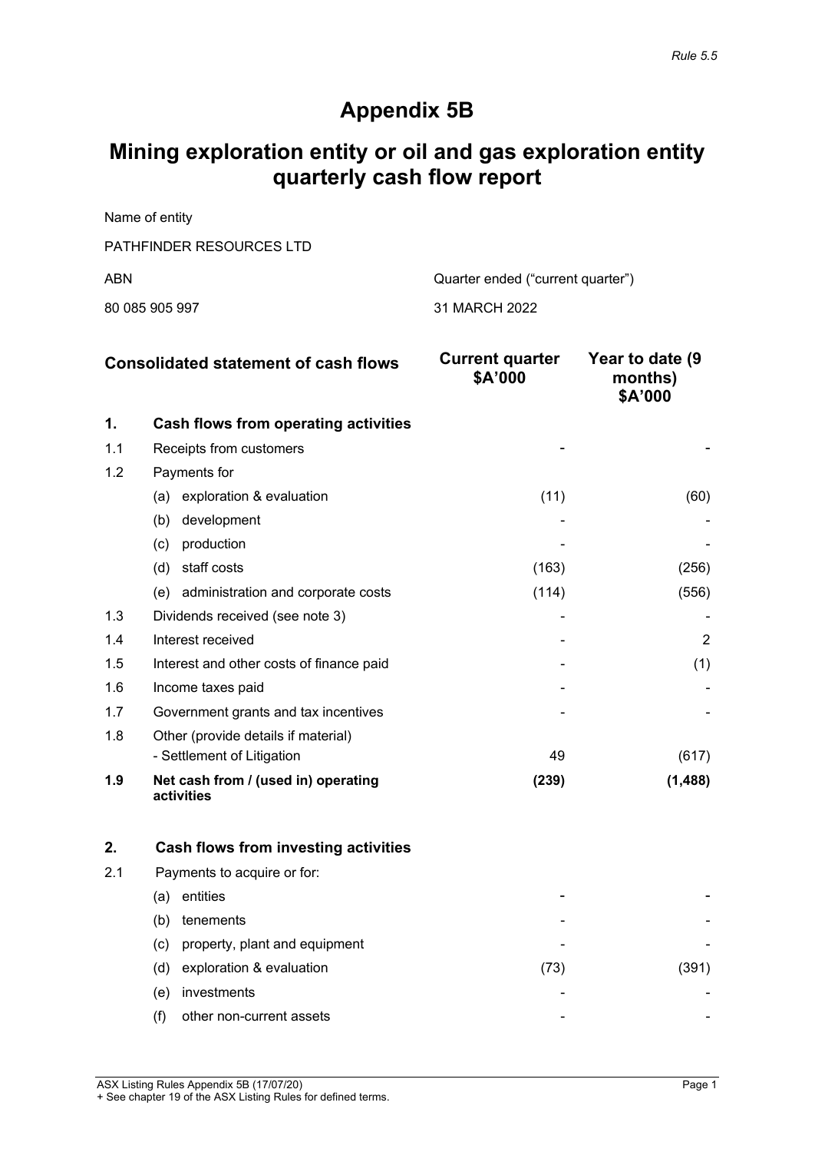# **Appendix 5B**

# **Mining exploration entity or oil and gas exploration entity quarterly cash flow report**

Name of entity

PATHFINDER RESOURCES LTD

ABN Quarter ended ("current quarter")

80 085 905 997 31 MARCH 2022

|     | <b>Consolidated statement of cash flows</b>       | <b>Current quarter</b><br>\$A'000 | Year to date (9)<br>months)<br>\$A'000 |
|-----|---------------------------------------------------|-----------------------------------|----------------------------------------|
| 1.  | Cash flows from operating activities              |                                   |                                        |
| 1.1 | Receipts from customers                           |                                   |                                        |
| 1.2 | Payments for                                      |                                   |                                        |
|     | exploration & evaluation<br>(a)                   | (11)                              | (60)                                   |
|     | (b)<br>development                                |                                   |                                        |
|     | production<br>(c)                                 |                                   |                                        |
|     | staff costs<br>(d)                                | (163)                             | (256)                                  |
|     | (e) administration and corporate costs            | (114)                             | (556)                                  |
| 1.3 | Dividends received (see note 3)                   |                                   |                                        |
| 1.4 | Interest received                                 |                                   | 2                                      |
| 1.5 | Interest and other costs of finance paid          |                                   | (1)                                    |
| 1.6 | Income taxes paid                                 |                                   |                                        |
| 1.7 | Government grants and tax incentives              |                                   |                                        |
| 1.8 | Other (provide details if material)               |                                   |                                        |
|     | - Settlement of Litigation                        | 49                                | (617)                                  |
| 1.9 | Net cash from / (used in) operating<br>activities | (239)                             | (1,488)                                |

| 2.  | Cash flows from investing activities |      |      |
|-----|--------------------------------------|------|------|
| 2.1 | Payments to acquire or for:          |      |      |
|     | entities<br>(a)                      |      |      |
|     | tenements<br>(b)                     |      |      |
|     | property, plant and equipment<br>(c) |      |      |
|     | (d) exploration & evaluation         | (73) | '39' |
|     | investments<br>(e)                   | -    |      |
|     | other non-current assets<br>(f)      |      |      |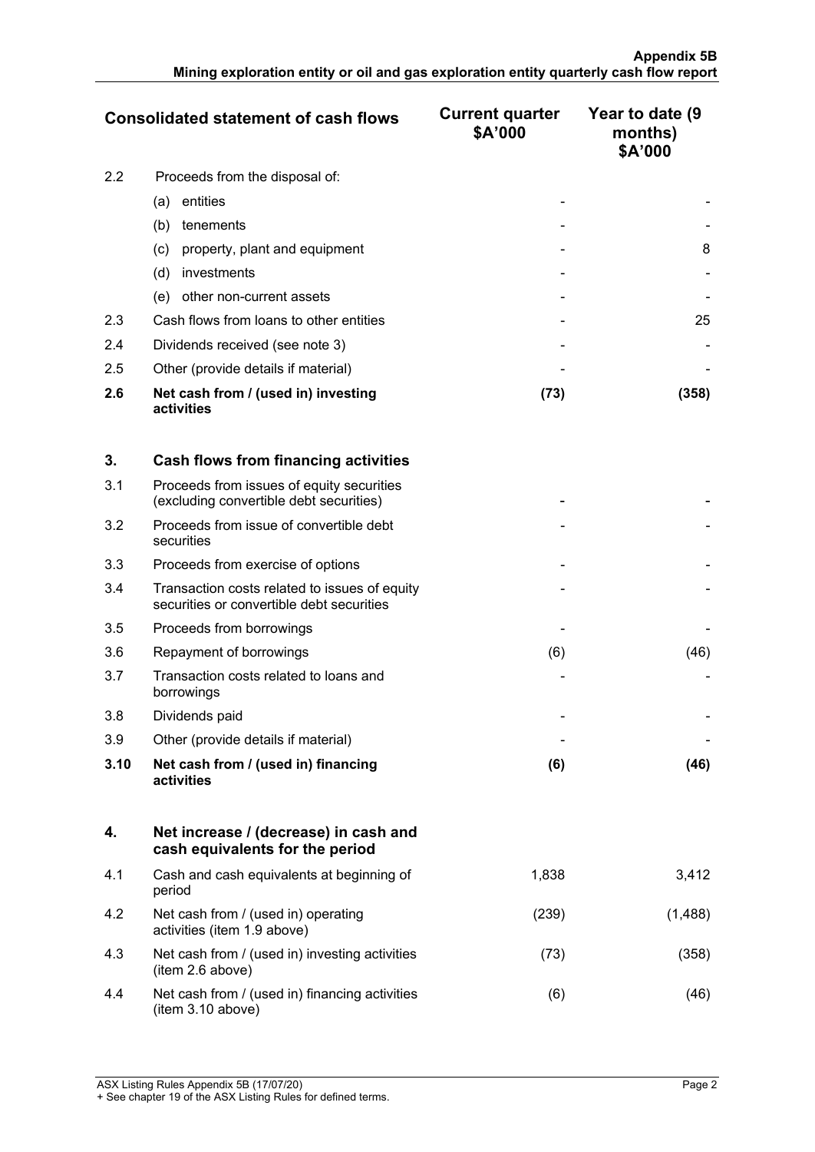|               | <b>Consolidated statement of cash flows</b>       | <b>Current quarter</b><br>\$A'000 | Year to date (9<br>months)<br>\$A'000 |
|---------------|---------------------------------------------------|-----------------------------------|---------------------------------------|
| $2.2^{\circ}$ | Proceeds from the disposal of:                    |                                   |                                       |
|               | entities<br>(a)                                   |                                   |                                       |
|               | tenements<br>(b)                                  |                                   |                                       |
|               | property, plant and equipment<br>(c)              |                                   | 8                                     |
|               | (d)<br>investments                                |                                   |                                       |
|               | other non-current assets<br>(e)                   |                                   |                                       |
| 2.3           | Cash flows from loans to other entities           |                                   | 25                                    |
| 2.4           | Dividends received (see note 3)                   |                                   |                                       |
| 2.5           | Other (provide details if material)               |                                   |                                       |
| 2.6           | Net cash from / (used in) investing<br>activities | (73)                              | (358)                                 |

| 3.   | Cash flows from financing activities                                                       |     |      |
|------|--------------------------------------------------------------------------------------------|-----|------|
| 3.1  | Proceeds from issues of equity securities<br>(excluding convertible debt securities)       |     |      |
| 3.2  | Proceeds from issue of convertible debt<br>securities                                      |     |      |
| 3.3  | Proceeds from exercise of options                                                          |     |      |
| 3.4  | Transaction costs related to issues of equity<br>securities or convertible debt securities |     |      |
| 3.5  | Proceeds from borrowings                                                                   |     |      |
| 3.6  | Repayment of borrowings                                                                    | (6) | (46) |
| 3.7  | Transaction costs related to loans and<br>borrowings                                       |     |      |
| 3.8  | Dividends paid                                                                             |     |      |
| 3.9  | Other (provide details if material)                                                        |     |      |
| 3.10 | Net cash from / (used in) financing<br>activities                                          | (6) | (46) |

|     | Net increase / (decrease) in cash and<br>cash equivalents for the period |       |        |
|-----|--------------------------------------------------------------------------|-------|--------|
| 4.1 | Cash and cash equivalents at beginning of<br>period                      | 1.838 | 3.412  |
| 4.2 | Net cash from / (used in) operating<br>activities (item 1.9 above)       | (239) | (1,488 |
| 4.3 | Net cash from / (used in) investing activities<br>(item 2.6 above)       | (73)  | 358    |
| 4.4 | Net cash from / (used in) financing activities<br>item 3.10 above)       | 66    | 46     |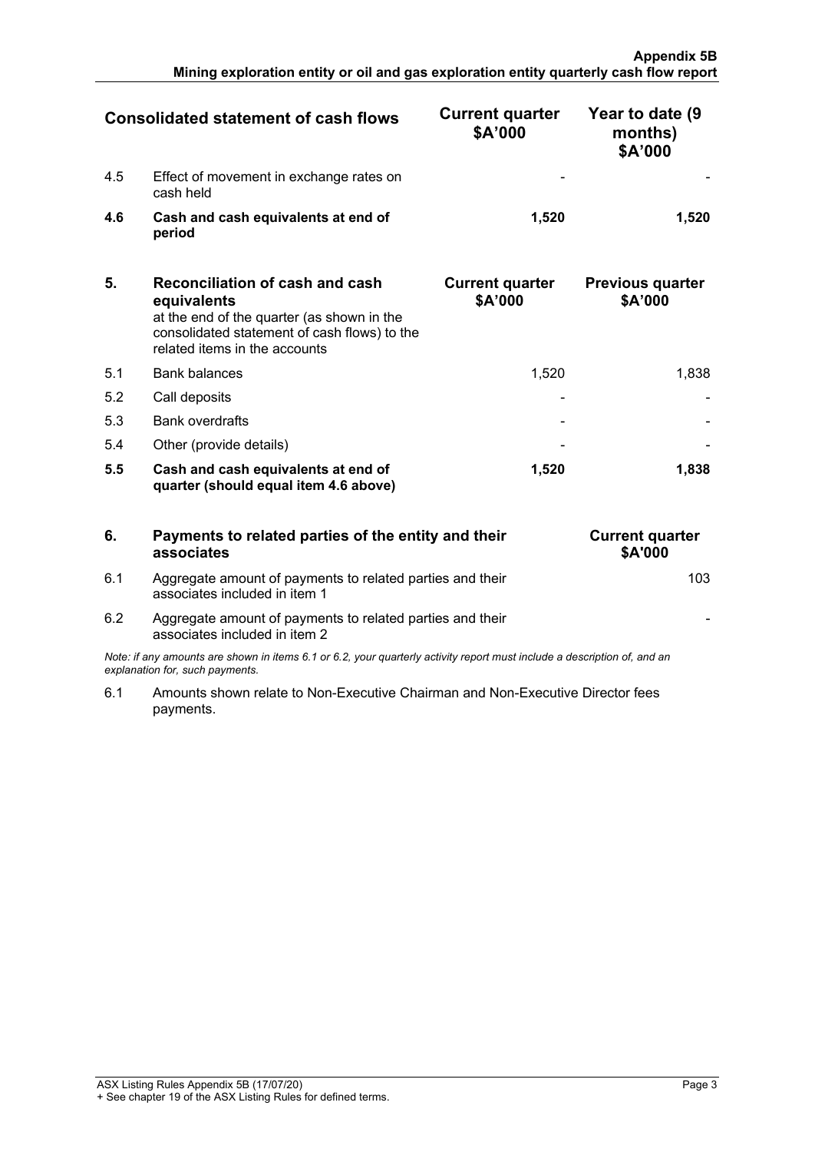| <b>Consolidated statement of cash flows</b> |                                                      | <b>Current quarter</b><br>\$A'000 | Year to date (9)<br>months)<br>\$A'000 |
|---------------------------------------------|------------------------------------------------------|-----------------------------------|----------------------------------------|
| 4.5                                         | Effect of movement in exchange rates on<br>cash held |                                   |                                        |
| 4.6                                         | Cash and cash equivalents at end of<br>period        | 1.520                             |                                        |

| 5.  | Reconciliation of cash and cash<br>equivalents<br>at the end of the quarter (as shown in the<br>consolidated statement of cash flows) to the<br>related items in the accounts | <b>Current quarter</b><br>\$A'000 | <b>Previous quarter</b><br>\$A'000 |
|-----|-------------------------------------------------------------------------------------------------------------------------------------------------------------------------------|-----------------------------------|------------------------------------|
| 5.1 | <b>Bank balances</b>                                                                                                                                                          | 1.520                             | 1.838                              |
| 5.2 | Call deposits                                                                                                                                                                 |                                   |                                    |
| 5.3 | <b>Bank overdrafts</b>                                                                                                                                                        |                                   |                                    |
| 5.4 | Other (provide details)                                                                                                                                                       |                                   |                                    |
| 5.5 | Cash and cash equivalents at end of<br>quarter (should equal item 4.6 above)                                                                                                  | 1,520                             | 1.838                              |

|     | Payments to related parties of the entity and their<br>associates                                                                                           | <b>Current quarter</b><br><b>SA'000</b> |  |  |  |
|-----|-------------------------------------------------------------------------------------------------------------------------------------------------------------|-----------------------------------------|--|--|--|
| 6.1 | Aggregate amount of payments to related parties and their<br>associates included in item 1                                                                  |                                         |  |  |  |
| 6.2 | Aggregate amount of payments to related parties and their<br>associates included in item 2                                                                  |                                         |  |  |  |
|     | Note: if any amounts are shown in items 6.1 or 6.2, your quarterly activity report must include a description of, and an<br>explanation for, such payments. |                                         |  |  |  |
| .61 | Amounts shown relate to Non-Executive Chairman and Non-Executive Director fees<br>payments                                                                  |                                         |  |  |  |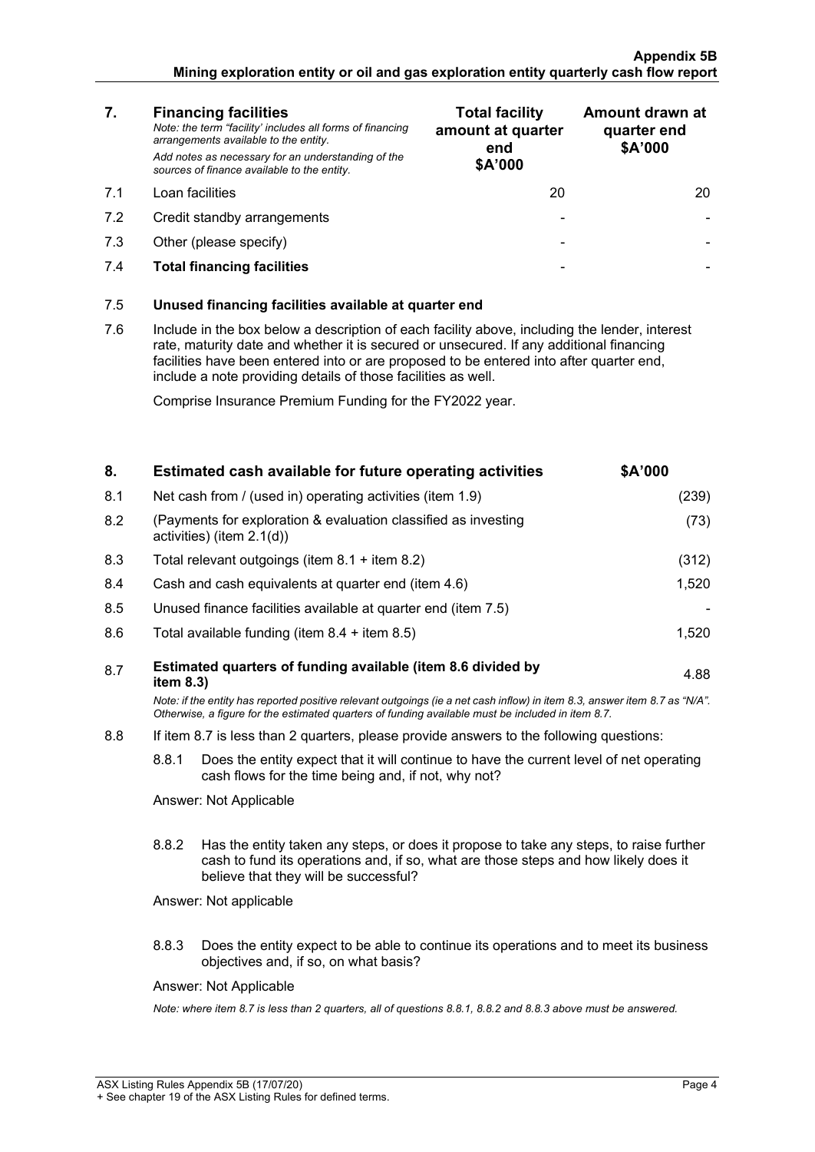#### **Appendix 5B Mining exploration entity or oil and gas exploration entity quarterly cash flow report**

| 7.                                                      | <b>Financing facilities</b><br>Note: the term "facility' includes all forms of financing<br>arrangements available to the entity.<br>Add notes as necessary for an understanding of the<br>sources of finance available to the entity.                                                                                                               | <b>Total facility</b><br>amount at quarter<br>end<br>\$A'000 | Amount drawn at<br>quarter end<br>\$A'000 |  |  |
|---------------------------------------------------------|------------------------------------------------------------------------------------------------------------------------------------------------------------------------------------------------------------------------------------------------------------------------------------------------------------------------------------------------------|--------------------------------------------------------------|-------------------------------------------|--|--|
| 7.1                                                     | Loan facilities                                                                                                                                                                                                                                                                                                                                      | 20                                                           | 20                                        |  |  |
| 7.2                                                     | Credit standby arrangements                                                                                                                                                                                                                                                                                                                          |                                                              |                                           |  |  |
| 7.3                                                     | Other (please specify)                                                                                                                                                                                                                                                                                                                               |                                                              |                                           |  |  |
| 7.4                                                     | <b>Total financing facilities</b>                                                                                                                                                                                                                                                                                                                    |                                                              |                                           |  |  |
| 7.5                                                     | Unused financing facilities available at quarter end                                                                                                                                                                                                                                                                                                 |                                                              |                                           |  |  |
| 7.6                                                     | Include in the box below a description of each facility above, including the lender, interest<br>rate, maturity date and whether it is secured or unsecured. If any additional financing<br>facilities have been entered into or are proposed to be entered into after quarter end,<br>include a note providing details of those facilities as well. |                                                              |                                           |  |  |
| Comprise Insurance Premium Funding for the FY2022 year. |                                                                                                                                                                                                                                                                                                                                                      |                                                              |                                           |  |  |

| 8.  | Estimated cash available for future operating activities                                                                                                                                                                        | \$A'000 |       |
|-----|---------------------------------------------------------------------------------------------------------------------------------------------------------------------------------------------------------------------------------|---------|-------|
| 8.1 | Net cash from / (used in) operating activities (item 1.9)                                                                                                                                                                       |         | (239) |
| 8.2 | (Payments for exploration & evaluation classified as investing<br>activities) (item 2.1(d))                                                                                                                                     |         | (73)  |
| 8.3 | Total relevant outgoings (item $8.1 +$ item $8.2$ )                                                                                                                                                                             |         | (312) |
| 8.4 | Cash and cash equivalents at quarter end (item 4.6)                                                                                                                                                                             | 1,520   |       |
| 8.5 | Unused finance facilities available at quarter end (item 7.5)                                                                                                                                                                   |         |       |
| 8.6 | Total available funding (item $8.4 +$ item $8.5$ )<br>1,520                                                                                                                                                                     |         |       |
| 8.7 | Estimated quarters of funding available (item 8.6 divided by<br>item $8.3$ )                                                                                                                                                    |         | 4.88  |
|     | Note: if the entity has reported positive relevant outgoings (ie a net cash inflow) in item 8.3, answer item 8.7 as "N/A".<br>Otherwise, a figure for the estimated quarters of funding available must be included in item 8.7. |         |       |
| 8.8 | If item 8.7 is less than 2 quarters, please provide answers to the following questions:                                                                                                                                         |         |       |
|     | 8.8.1<br>Does the entity expect that it will continue to have the current level of net operating<br>cash flows for the time being and, if not, why not?                                                                         |         |       |
|     | Answer: Not Applicable                                                                                                                                                                                                          |         |       |
|     | 8.8.2<br>Has the entity taken any steps, or does it propose to take any steps, to raise further<br>cash to fund its operations and, if so, what are those steps and how likely does it<br>believe that they will be successful? |         |       |
|     | Answer: Not applicable                                                                                                                                                                                                          |         |       |
|     | 8.8.3<br>Does the entity expect to be able to continue its operations and to meet its business<br>objectives and, if so, on what basis?                                                                                         |         |       |
|     | Answer: Not Applicable                                                                                                                                                                                                          |         |       |
|     | Note: where item 8.7 is less than 2 quarters, all of questions 8.8.1, 8.8.2 and 8.8.3 above must be answered.                                                                                                                   |         |       |